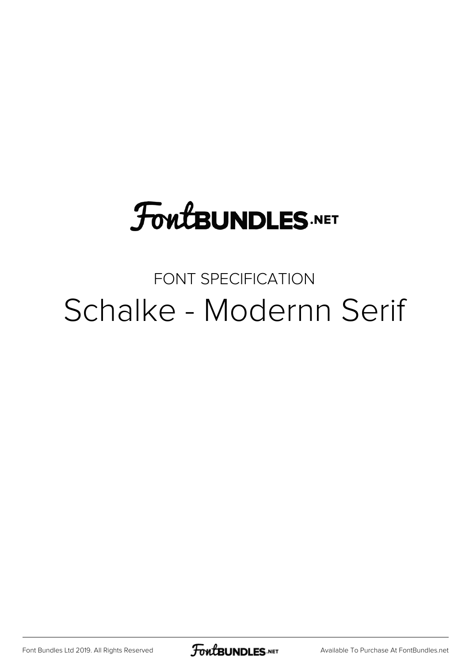# **FoutBUNDLES.NET**

## FONT SPECIFICATION Schalke - Modernn Serif

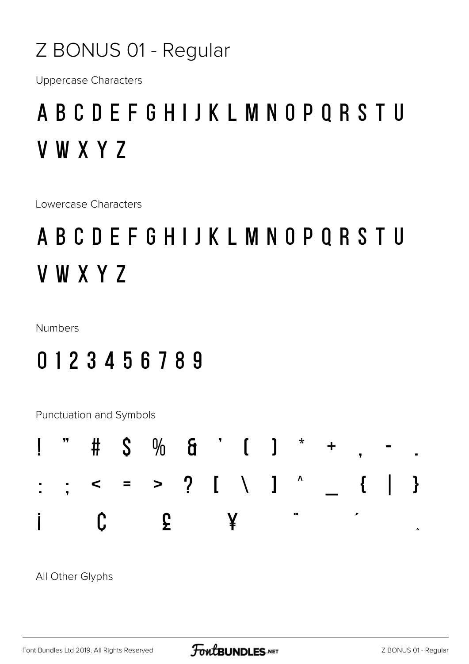### Z BONUS 01 - Regular

**Uppercase Characters** 

## A B C D E F G H I J K L M N O P Q R S T U **VWXYZ**

Lowercase Characters

## A B C D E F G H I J K L M N O P Q R S T U V W X Y Z

**Numbers** 

### 0123456789

Punctuation and Symbols



All Other Glyphs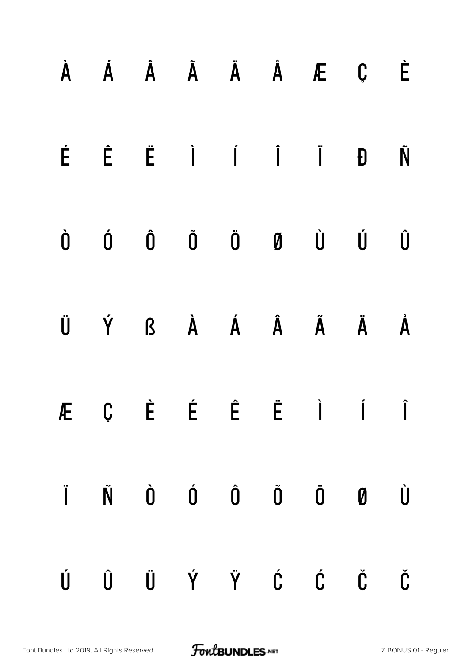|           |  |  | À Á Â Ã Ä Å Æ Ç                                                                                                                                                                     | È |
|-----------|--|--|-------------------------------------------------------------------------------------------------------------------------------------------------------------------------------------|---|
|           |  |  | $\acute{E}$ $\acute{E}$ $\ddot{I}$ $\acute{I}$ $\ddot{I}$ $\ddot{B}$                                                                                                                | Ñ |
| $\dot{0}$ |  |  | $\begin{matrix} \hat{\mathbf{0}} & \hat{\mathbf{0}} & \hat{\mathbf{0}} & \hat{\mathbf{0}} & \hat{\mathbf{0}} & \hat{\mathbf{0}} & \hat{\mathbf{0}} & \hat{\mathbf{0}} \end{matrix}$ | Û |
|           |  |  | ÜÝ ßÀ Á Á Ã Ä Å                                                                                                                                                                     |   |
|           |  |  | ÆÇÈÉ Ë Ë Ì Í Î                                                                                                                                                                      |   |
|           |  |  | Ï Ñ Ò Ó Ô Õ Ö Ø Ù                                                                                                                                                                   |   |
|           |  |  | Ú Û Ü Ý Ÿ Ć Ć Č                                                                                                                                                                     |   |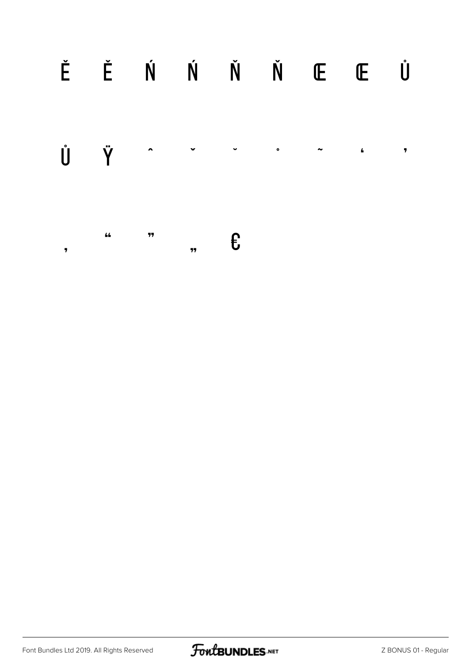#### Ě Ě Ń Ń Ň Ň Œ Œ Ů Ů Ÿ  $\ddot{\phantom{1}}$  $\bullet$  $\sim$  $\pmb{\bar{\tau}}$  $\ddot{\phantom{0}}$  $\pmb{\pmb{\epsilon}}$  $\pmb{\mathit{44}}$  $77$  $\epsilon$  $\overline{11}$  $\overline{\mathbf{z}}$

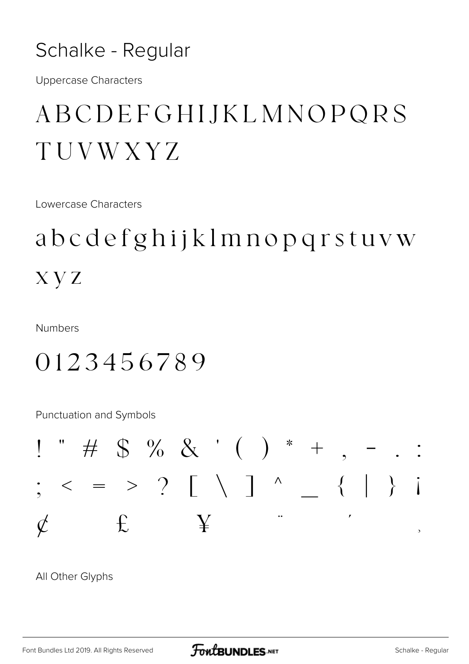### Schalke - Regular

**Uppercase Characters** 

## ABCDEFGHIJKLMNOPQRS TUVWXYZ

Lowercase Characters

## abcdefghijklmnopqrstuvw  $X<sub>Y</sub>Z$

**Numbers** 

### 0123456789

Punctuation and Symbols



All Other Glyphs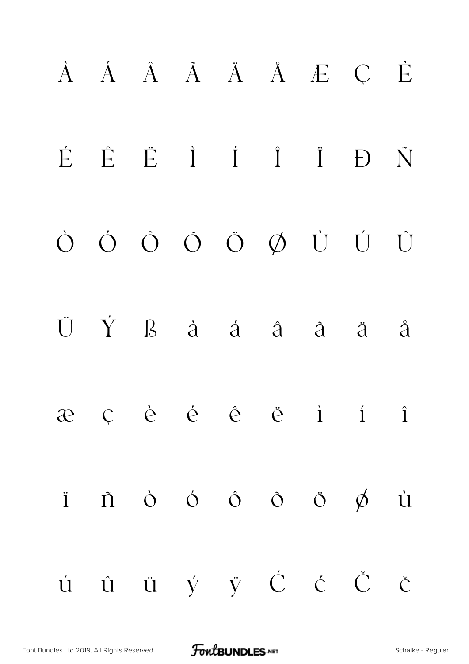